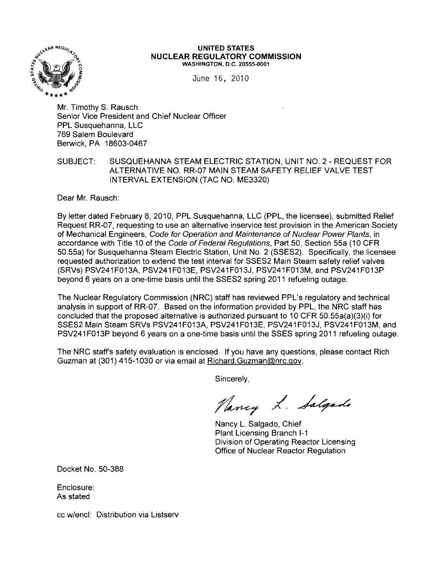

#### **UNITED** STATES **NUCLEAR REGULATORY COMMISSION**  WASHINGTON, D.C. 20555-0001

June 16, 2010

Mr. Timothy S. Rausch Senior Vice President and Chief Nuclear Officer PPL Susquehanna, LLC 769 Salem Boulevard Berwick, PA 18603-0467

#### SUBJECT: SUSQUEHANNA STEAM ELECTRIC STATION, UNIT NO.2 - REQUEST FOR ALTERNATIVE NO. RR-07 MAIN STEAM SAFETY RELIEF VALVE TEST INTERVAL EXTENSION (TAC NO. ME3320)

Dear Mr. Rausch:

By letter dated February 8,2010, PPL Susquehanna, LLC (PPL, the licensee), submitted Relief Request RR-07, requesting to use an alternative inservice test provision in the American Society of Mechanical Engineers, Code for Operation and Maintenance of Nuclear Power Plants, in accordance with Title 10 of the Code of Federal Regulations, Part 50, Section 55a (10 CFR 50.55a) for Susquehanna Steam Electric Station, Unit NO.2 (SSES2). Specifically, the licensee requested authorization to extend the test interval for SSES2 Main Steam safety relief valves (SRVs) PSV241 F013A, PSV241 F013E, PSV241 F013J, PSV241 F013M, and PSV241 F013 P beyond 6 years on a one-time basis until the SSES2 spring 2011 refueling outage.

The Nuclear Regulatory Commission (NRC) staff has reviewed PPL's regulatory and technical analysis in support of RR-07. Based on the information provided by PPL, the NRC staff has concluded that the proposed alternative is authorized pursuant to 10 CFR 50.55a(a)(3)(i) for SSES2 Main Steam SRVs PSV241F013A, PSV241F013E, PSV241F013J, PSV241F013M, and PSV241 F013P beyond 6 years on a one-time basis until the SSES spring 2011 refueling outage.

The NRC staff's safety evaluation is enclosed. If you have any questions, please contact Rich Guzman at (301) 415-1030 or via email at Richard.Guzman@nrc.gov.

Sincerely,

Pancy L. Salgado

Nancy L. Salgado, Chief Plant Licensing Branch 1-1 Division of Operating Reactor Licensing Office of Nuclear Reactor Regulation

Docket No. 50-388

Enclosure: As stated

cc w/encl: Distribution via Listserv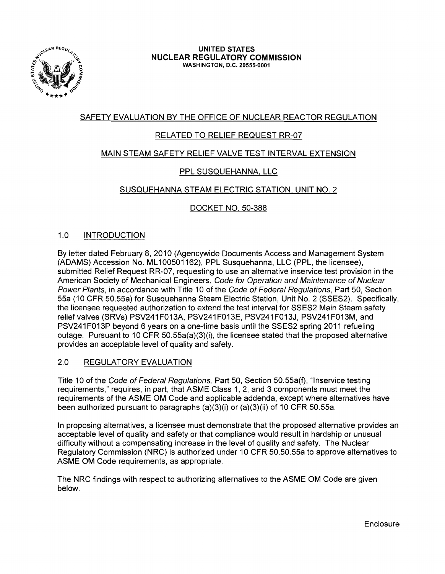

UNITED STATES NUCLEAR REGULATORY COMMISSION WASHINGTON, D.C. 20555-0001

# SAFETY EVALUATION BY THE OFFICE OF NUCLEAR REACTOR REGULATION

# RELATED TO RELIEF REQUEST RR-07

# MAIN STEAM SAFETY RELIEF VALVE TEST INTERVAL EXTENSION

# PPL SUSQUEHANNA, LLC

# SUSQUEHANNA STEAM ELECTRIC STATION, UNIT NO.2

# DOCKET NO. 50-388

# 1.0 INTRODUCTION

By letter dated February 8,2010 (Agencywide Documents Access and Management System (ADAMS) Accession No. ML100501162), PPL Susquehanna, LLC (PPL, the licensee), submitted Relief Request RR-07, requesting to use an alternative inservice test provision in the American Society of Mechanical Engineers, Code for Operation and Maintenance of Nuclear Power Plants, in accordance with Title 10 of the Code of Federal Regulations, Part 50, Section 55a (10 CFR 50.55a) for Susquehanna Steam Electric Station, Unit No.2 (SSES2). Specifically, the licensee requested authorization to extend the test interval for SSES2 Main Steam safety relief valves (SRVs) PSV241F013A, PSV241F013E, PSV241F013J, PSV241F013M, and PSV241 F013P beyond 6 years on a one-time basis until the SSES2 spring 2011 refueling outage. Pursuant to 10 CFR 50.55a(a)(3)(i), the licensee stated that the proposed alternative provides an acceptable level of quality and safety.

#### 2.0 REGULATORY EVALUATION

Title 10 of the Code of Federal Regulations, Part 50, Section 50.55a(f), "Inservice testing requirements," requires, in part, that ASME Class 1, 2, and 3 components must meet the requirements of the ASME OM Code and applicable addenda, except where alternatives have been authorized pursuant to paragraphs (a)(3)(i) or (a)(3)(ii) of 10 CFR 50.55a.

In proposing alternatives, a licensee must demonstrate that the proposed alternative provides an acceptable level of quality and safety or that compliance would result in hardship or unusual difficulty without a compensating increase in the level of quality and safety. The Nuclear Regulatory Commission (NRC) is authorized under 10 CFR 50.50.55a to approve alternatives to ASME OM Code requirements, as appropriate.

The NRC findings with respect to authorizing alternatives to the ASME OM Code are given below.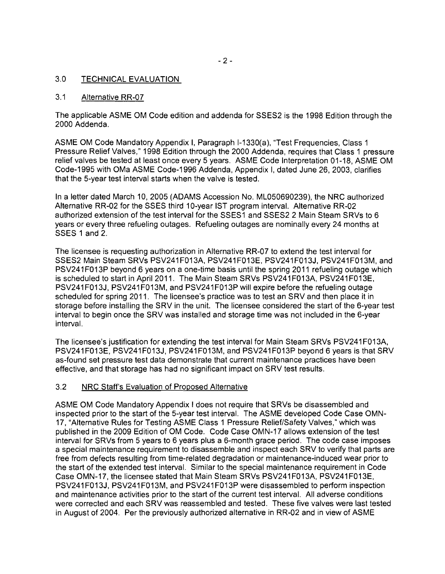#### 3.0 TECHNICAL EVALUATION

#### 3.1 Alternative RR-07

The applicable ASME OM Code edition and addenda for SSES2 is the 1998 Edition through the 2000 Addenda.

ASME OM Code Mandatory Appendix I, Paragraph 1-1330(a), 'Test Frequencies, Class 1 Pressure Relief Valves," 1998 Edition through the 2000 Addenda, requires that Class 1 pressure relief valves be tested at least once every 5 years. ASME Code Interpretation 01-18, ASME OM Code-1 995 with OMa ASME Code-1996 Addenda, Appendix I, dated June 26, 2003, clarifies that the 5-year test interval starts when the valve is tested.

In a letter dated March 10,2005 (ADAMS Accession No. ML050690239), the NRC authorized Alternative RR-02 for the SSES third 1O-year 1ST program interval. Alternative RR-02 authorized extension of the test interval for the SSES1 and SSES2 2 Main Steam SRVs to 6 years or every three refueling outages. Refueling outages are nominally every 24 months at SSES 1 and 2.

The licensee is requesting authorization in Alternative RR-07 to extend the test interval for SSES2 Main Steam SRVs PSV241F013A, PSV241F013E, PSV241F013J, PSV241F013M, and PSV241 F013P beyond 6 years on a one-time basis until the spring 2011 refueling outage which is scheduled to start in April 2011. The Main Steam SRVs PSV241 F013A, PSV241 F013E, PSV241 F013J, PSV241 F013M, and PSV241 F013P will expire before the refueling outage scheduled for spring 2011. The licensee's practice was to test an SRV and then place it in storage before installing the SRV in the unit. The licensee considered the start of the 6-year test interval to begin once the SRV was installed and storage time was not included in the 6-year interval.

The licensee's justification for extending the test interval for Main Steam SRVs PSV241F013A, PSV241 F013E, PSV241 F013J, PSV241 F013M, and PSV241 F013P beyond 6 years is that SRV as-found set pressure test data demonstrate that current maintenance practices have been effective, and that storage has had no significant impact on SRV test results.

#### 3.2 NRC Staff's Evaluation of Proposed Alternative

ASME OM Code Mandatory Appendix I does not require that SRVs be disassembled and inspected prior to the start of the 5-year test interval. The ASME developed Code Case OMN-17, "Alternative Rules for Testing ASME Class 1 Pressure Relief/Safety Valves," which was published in the 2009 Edition of OM Code. Code Case OMN-17 allows extension of the test interval for SRVs from 5 years to 6 years plus a 6-month grace period. The code case imposes a special maintenance requirement to disassemble and inspect each SRV to verify that parts are free from defects resulting from time-related degradation or maintenance-induced wear prior to the start of the extended test interval. Similar to the special maintenance requirement in Code Case OMN-17, the licensee stated that Main Steam SRVs PSV241F013A, PSV241F013E, PSV241 F013J, PSV241 F013M, and PSV241 F013P were disassembled to perform inspection and maintenance activities prior to the start of the current test interval. All adverse conditions were corrected and each SRV was reassembled and tested. These five valves were last tested in August of 2004. Per the previously authorized alternative in RR-02 and in view of ASME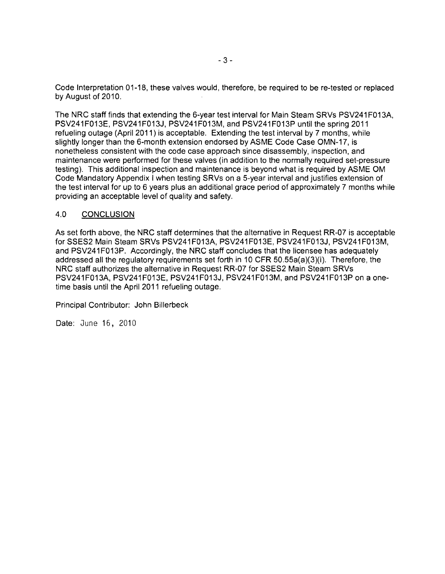Code Interpretation 01-18, these valves would, therefore, be required to be re-tested or replaced by August of 2010.

The NRC staff finds that extending the 6-year test interval for Main Steam SRVs PSV241 F013A, PSV241F013E, PSV241F013J, PSV241F013M, and PSV241F013P until the spring 2011 refueling outage (April 2011) is acceptable. Extending the test interval by 7 months, while slightly longer than the 6-month extension endorsed by ASME Code Case OMN-17, is nonetheless consistent with the code case approach since disassembly, inspection, and maintenance were performed for these valves (in addition to the normally required set-pressure testing). This additional inspection and maintenance is beyond what is required by ASME OM Code Mandatory Appendix I when testing SRVs on a 5-year interval and justifies extension of the test interval for up to 6 years plus an additional grace period of approximately 7 months while providing an acceptable level of quality and safety.

#### 4.0 CONCLUSION

As set forth above, the NRC staff determines that the alternative in Request RR-07 is acceptable for SSES2 Main Steam SRVs PSV241F013A, PSV241F013E, PSV241F013J, PSV241F013M. and PSV241 F013P. Accordingly, the NRC staff concludes that the licensee has adequately addressed all the regulatory requirements set forth in 10 CFR 50.55a(a)(3)(i). Therefore, the NRC staff authorizes the alternative in Request RR-07 for SSES2 Main Steam SRVs PSV241 F013A, PSV241 F013E, PSV241 F013J, PSV241 F013M, and PSV241 F013P on a onetime basis until the April 2011 refueling outage.

Principal Contributor: John Billerbeck

Date: June 16, 2010